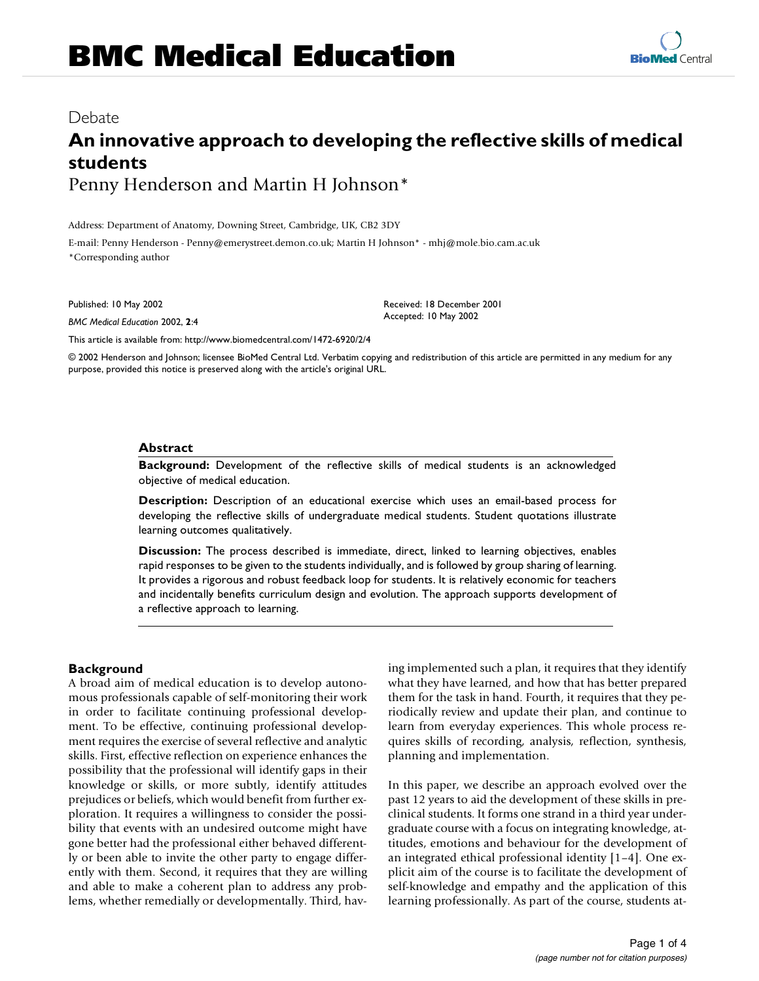# Bedate Education 2002, 2 x Debate

# **An innovative approach to developing the reflective skills of medical students** Penny Henderson and Martin H Johnson\*

Address: Department of Anatomy, Downing Street, Cambridge, UK, CB2 3DY

E-mail: Penny Henderson - Penny@emerystreet.demon.co.uk; Martin H Johnson\* - mhj@mole.bio.cam.ac.uk \*Corresponding author

Published: 10 May 2002

*BMC Medical Education* 2002, **2**:4

[This article is available from: http://www.biomedcentral.com/1472-6920/2/4](http://www.biomedcentral.com/1472-6920/2/4)

© 2002 Henderson and Johnson; licensee BioMed Central Ltd. Verbatim copying and redistribution of this article are permitted in any medium for any purpose, provided this notice is preserved along with the article's original URL.

Received: 18 December 2001 Accepted: 10 May 2002

#### **Abstract**

**Background:** Development of the reflective skills of medical students is an acknowledged objective of medical education.

**Description:** Description of an educational exercise which uses an email-based process for developing the reflective skills of undergraduate medical students. Student quotations illustrate learning outcomes qualitatively.

**Discussion:** The process described is immediate, direct, linked to learning objectives, enables rapid responses to be given to the students individually, and is followed by group sharing of learning. It provides a rigorous and robust feedback loop for students. It is relatively economic for teachers and incidentally benefits curriculum design and evolution. The approach supports development of a reflective approach to learning.

#### **Background**

A broad aim of medical education is to develop autonomous professionals capable of self-monitoring their work in order to facilitate continuing professional development. To be effective, continuing professional development requires the exercise of several reflective and analytic skills. First, effective reflection on experience enhances the possibility that the professional will identify gaps in their knowledge or skills, or more subtly, identify attitudes prejudices or beliefs, which would benefit from further exploration. It requires a willingness to consider the possibility that events with an undesired outcome might have gone better had the professional either behaved differently or been able to invite the other party to engage differently with them. Second, it requires that they are willing and able to make a coherent plan to address any problems, whether remedially or developmentally. Third, having implemented such a plan, it requires that they identify what they have learned, and how that has better prepared them for the task in hand. Fourth, it requires that they periodically review and update their plan, and continue to learn from everyday experiences. This whole process requires skills of recording, analysis, reflection, synthesis, planning and implementation.

In this paper, we describe an approach evolved over the past 12 years to aid the development of these skills in preclinical students. It forms one strand in a third year undergraduate course with a focus on integrating knowledge, attitudes, emotions and behaviour for the development of an integrated ethical professional identity [1–4]. One explicit aim of the course is to facilitate the development of self-knowledge and empathy and the application of this learning professionally. As part of the course, students at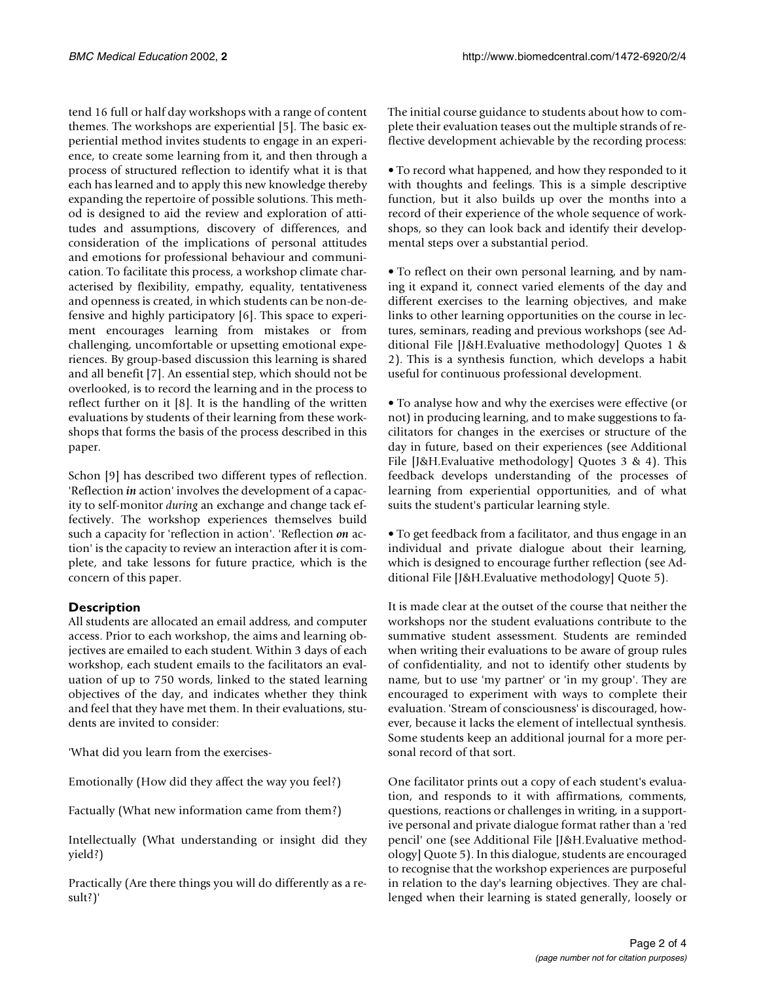tend 16 full or half day workshops with a range of content themes. The workshops are experiential [5]. The basic experiential method invites students to engage in an experience, to create some learning from it, and then through a process of structured reflection to identify what it is that each has learned and to apply this new knowledge thereby expanding the repertoire of possible solutions. This method is designed to aid the review and exploration of attitudes and assumptions, discovery of differences, and consideration of the implications of personal attitudes and emotions for professional behaviour and communication. To facilitate this process, a workshop climate characterised by flexibility, empathy, equality, tentativeness and openness is created, in which students can be non-defensive and highly participatory [6]. This space to experiment encourages learning from mistakes or from challenging, uncomfortable or upsetting emotional experiences. By group-based discussion this learning is shared and all benefit [7]. An essential step, which should not be overlooked, is to record the learning and in the process to reflect further on it [8]. It is the handling of the written evaluations by students of their learning from these workshops that forms the basis of the process described in this paper.

Schon [9] has described two different types of reflection. 'Reflection *in* action' involves the development of a capacity to self-monitor *during* an exchange and change tack effectively. The workshop experiences themselves build such a capacity for 'reflection in action'. 'Reflection *on* action' is the capacity to review an interaction after it is complete, and take lessons for future practice, which is the concern of this paper.

## **Description**

All students are allocated an email address, and computer access. Prior to each workshop, the aims and learning objectives are emailed to each student. Within 3 days of each workshop, each student emails to the facilitators an evaluation of up to 750 words, linked to the stated learning objectives of the day, and indicates whether they think and feel that they have met them. In their evaluations, students are invited to consider:

'What did you learn from the exercises-

Emotionally (How did they affect the way you feel?)

Factually (What new information came from them?)

Intellectually (What understanding or insight did they yield?)

Practically (Are there things you will do differently as a result?)'

The initial course guidance to students about how to complete their evaluation teases out the multiple strands of reflective development achievable by the recording process:

• To record what happened, and how they responded to it with thoughts and feelings. This is a simple descriptive function, but it also builds up over the months into a record of their experience of the whole sequence of workshops, so they can look back and identify their developmental steps over a substantial period.

• To reflect on their own personal learning, and by naming it expand it, connect varied elements of the day and different exercises to the learning objectives, and make links to other learning opportunities on the course in lectures, seminars, reading and previous workshops (see Additional File [J&H.Evaluative methodology] Quotes 1 & 2). This is a synthesis function, which develops a habit useful for continuous professional development.

• To analyse how and why the exercises were effective (or not) in producing learning, and to make suggestions to facilitators for changes in the exercises or structure of the day in future, based on their experiences (see Additional File [J&H.Evaluative methodology] Quotes 3 & 4). This feedback develops understanding of the processes of learning from experiential opportunities, and of what suits the student's particular learning style.

• To get feedback from a facilitator, and thus engage in an individual and private dialogue about their learning, which is designed to encourage further reflection (see Additional File [J&H.Evaluative methodology] Quote 5).

It is made clear at the outset of the course that neither the workshops nor the student evaluations contribute to the summative student assessment. Students are reminded when writing their evaluations to be aware of group rules of confidentiality, and not to identify other students by name, but to use 'my partner' or 'in my group'. They are encouraged to experiment with ways to complete their evaluation. 'Stream of consciousness' is discouraged, however, because it lacks the element of intellectual synthesis. Some students keep an additional journal for a more personal record of that sort.

One facilitator prints out a copy of each student's evaluation, and responds to it with affirmations, comments, questions, reactions or challenges in writing, in a supportive personal and private dialogue format rather than a 'red pencil' one (see Additional File [J&H.Evaluative methodology] Quote 5). In this dialogue, students are encouraged to recognise that the workshop experiences are purposeful in relation to the day's learning objectives. They are challenged when their learning is stated generally, loosely or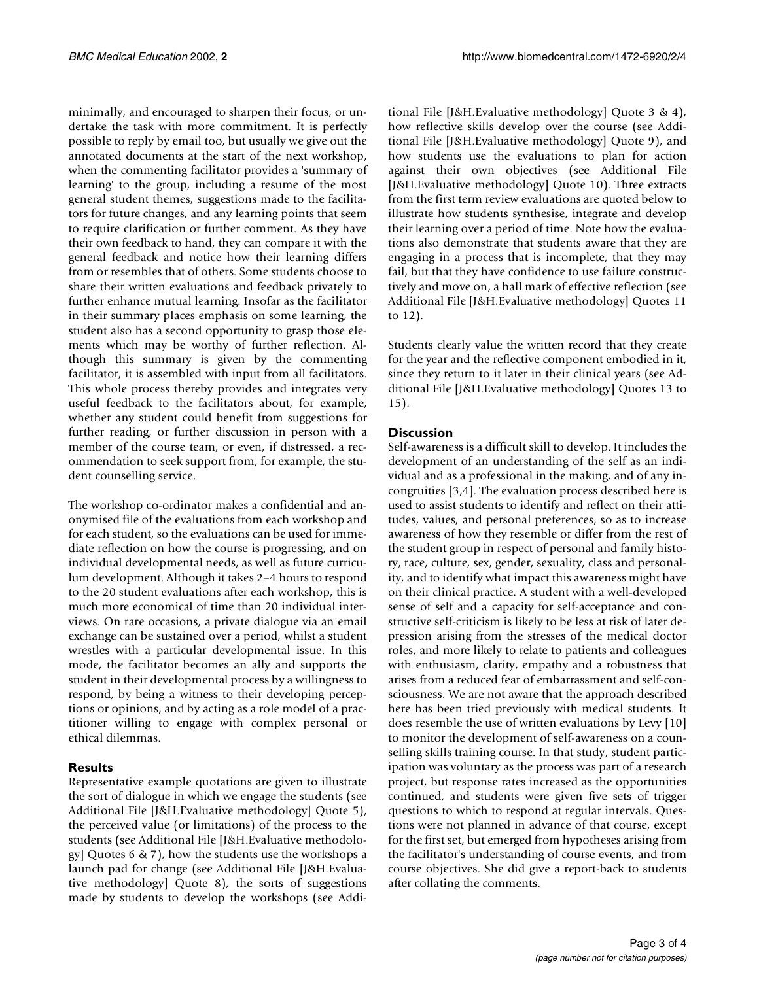minimally, and encouraged to sharpen their focus, or undertake the task with more commitment. It is perfectly possible to reply by email too, but usually we give out the annotated documents at the start of the next workshop, when the commenting facilitator provides a 'summary of learning' to the group, including a resume of the most general student themes, suggestions made to the facilitators for future changes, and any learning points that seem to require clarification or further comment. As they have their own feedback to hand, they can compare it with the general feedback and notice how their learning differs from or resembles that of others. Some students choose to share their written evaluations and feedback privately to further enhance mutual learning. Insofar as the facilitator in their summary places emphasis on some learning, the student also has a second opportunity to grasp those elements which may be worthy of further reflection. Although this summary is given by the commenting facilitator, it is assembled with input from all facilitators. This whole process thereby provides and integrates very useful feedback to the facilitators about, for example, whether any student could benefit from suggestions for further reading, or further discussion in person with a member of the course team, or even, if distressed, a recommendation to seek support from, for example, the student counselling service.

The workshop co-ordinator makes a confidential and anonymised file of the evaluations from each workshop and for each student, so the evaluations can be used for immediate reflection on how the course is progressing, and on individual developmental needs, as well as future curriculum development. Although it takes 2–4 hours to respond to the 20 student evaluations after each workshop, this is much more economical of time than 20 individual interviews. On rare occasions, a private dialogue via an email exchange can be sustained over a period, whilst a student wrestles with a particular developmental issue. In this mode, the facilitator becomes an ally and supports the student in their developmental process by a willingness to respond, by being a witness to their developing perceptions or opinions, and by acting as a role model of a practitioner willing to engage with complex personal or ethical dilemmas.

## **Results**

Representative example quotations are given to illustrate the sort of dialogue in which we engage the students (see Additional File [J&H.Evaluative methodology] Quote 5), the perceived value (or limitations) of the process to the students (see Additional File [J&H.Evaluative methodology] Quotes 6 & 7), how the students use the workshops a launch pad for change (see Additional File [J&H.Evaluative methodology] Quote 8), the sorts of suggestions made by students to develop the workshops (see Addi-

tional File [J&H.Evaluative methodology] Quote 3 & 4), how reflective skills develop over the course (see Additional File [J&H.Evaluative methodology] Quote 9), and how students use the evaluations to plan for action against their own objectives (see Additional File [J&H.Evaluative methodology] Quote 10). Three extracts from the first term review evaluations are quoted below to illustrate how students synthesise, integrate and develop their learning over a period of time. Note how the evaluations also demonstrate that students aware that they are engaging in a process that is incomplete, that they may fail, but that they have confidence to use failure constructively and move on, a hall mark of effective reflection (see Additional File [J&H.Evaluative methodology] Quotes 11 to 12).

Students clearly value the written record that they create for the year and the reflective component embodied in it, since they return to it later in their clinical years (see Additional File [J&H.Evaluative methodology] Quotes 13 to 15).

### **Discussion**

Self-awareness is a difficult skill to develop. It includes the development of an understanding of the self as an individual and as a professional in the making, and of any incongruities [3,4]. The evaluation process described here is used to assist students to identify and reflect on their attitudes, values, and personal preferences, so as to increase awareness of how they resemble or differ from the rest of the student group in respect of personal and family history, race, culture, sex, gender, sexuality, class and personality, and to identify what impact this awareness might have on their clinical practice. A student with a well-developed sense of self and a capacity for self-acceptance and constructive self-criticism is likely to be less at risk of later depression arising from the stresses of the medical doctor roles, and more likely to relate to patients and colleagues with enthusiasm, clarity, empathy and a robustness that arises from a reduced fear of embarrassment and self-consciousness. We are not aware that the approach described here has been tried previously with medical students. It does resemble the use of written evaluations by Levy [10] to monitor the development of self-awareness on a counselling skills training course. In that study, student participation was voluntary as the process was part of a research project, but response rates increased as the opportunities continued, and students were given five sets of trigger questions to which to respond at regular intervals. Questions were not planned in advance of that course, except for the first set, but emerged from hypotheses arising from the facilitator's understanding of course events, and from course objectives. She did give a report-back to students after collating the comments.